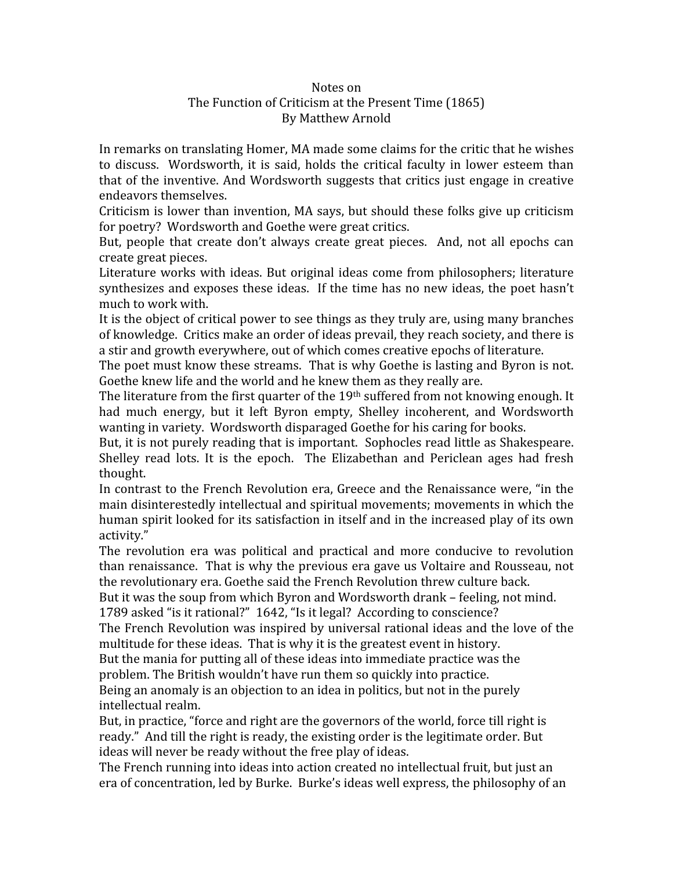## Notes
on The
Function
of
Criticism
at
the
Present
Time
(1865) By
Matthew
Arnold

In
remarks
on
translating
Homer,
MA
made
some
claims
for
the
critic
that
he
wishes to discuss. Wordsworth, it is said, holds the critical faculty in lower esteem than that
of
 the
inventive.
And
Wordsworth
suggests
 that
critics
just
engage
in
creative endeavors
themselves.

Criticism
is
lower
than
invention,
MA
says,
but
should
these
 folks
give
up
criticism for
poetry?

Wordsworth
and
Goethe
were
great
critics.

But, people that create don't always create great pieces. And, not all epochs can create
great
pieces.

Literature works with ideas. But original ideas come from philosophers; literature synthesizes and exposes these ideas. If the time has no new ideas, the poet hasn't much
to
work
with.

It is the object of critical power to see things as they truly are, using many branches of
knowledge.

Critics
make
an
order
of
ideas
prevail,
they
reach
society,
and
there
is a stir and growth everywhere, out of which comes creative epochs of literature.

The poet must know these streams. That is why Goethe is lasting and Byron is not. Goethe knew life and the world and he knew them as they really are.

The literature from the first quarter of the 19<sup>th</sup> suffered from not knowing enough. It had much energy, but it left Byron empty, Shelley incoherent, and Wordsworth wanting
in
variety.

Wordsworth
disparaged
Goethe
for
his
caring
for
books.

But, it is not purely reading that is important. Sophocles read little as Shakespeare. Shelley read lots. It is the epoch. The Elizabethan and Periclean ages had fresh thought.

In contrast to the French Revolution era, Greece and the Renaissance were, "in the main disinterestedly intellectual and spiritual movements; movements in which the human spirit looked for its satisfaction in itself and in the increased play of its own activity."

The revolution era was political and practical and more conducive to revolution than
renaissance.

That
is
why
the
previous
era
gave
us
Voltaire
and
Rousseau,
not the
revolutionary
era.
Goethe
said
the
French
Revolution
threw
culture
back.

But it was the soup from which Byron and Wordsworth drank - feeling, not mind. 1789 asked "is it rational?" 1642, "Is it legal? According to conscience?

The
French
Revolution
was
inspired
by
universal
rational
ideas
and
the
love
of
the multitude for these ideas. That is why it is the greatest event in history.

But the mania for putting all of these ideas into immediate practice was the problem.
The
British
wouldn't
have
run
them
so
quickly
into
practice.

Being an anomaly is an objection to an idea in politics, but not in the purely intellectual
realm.

But, in practice, "force and right are the governors of the world, force till right is ready." And till the right is ready, the existing order is the legitimate order. But ideas will never be ready without the free play of ideas.

The French running into ideas into action created no intellectual fruit, but just an era of concentration, led by Burke. Burke's ideas well express, the philosophy of an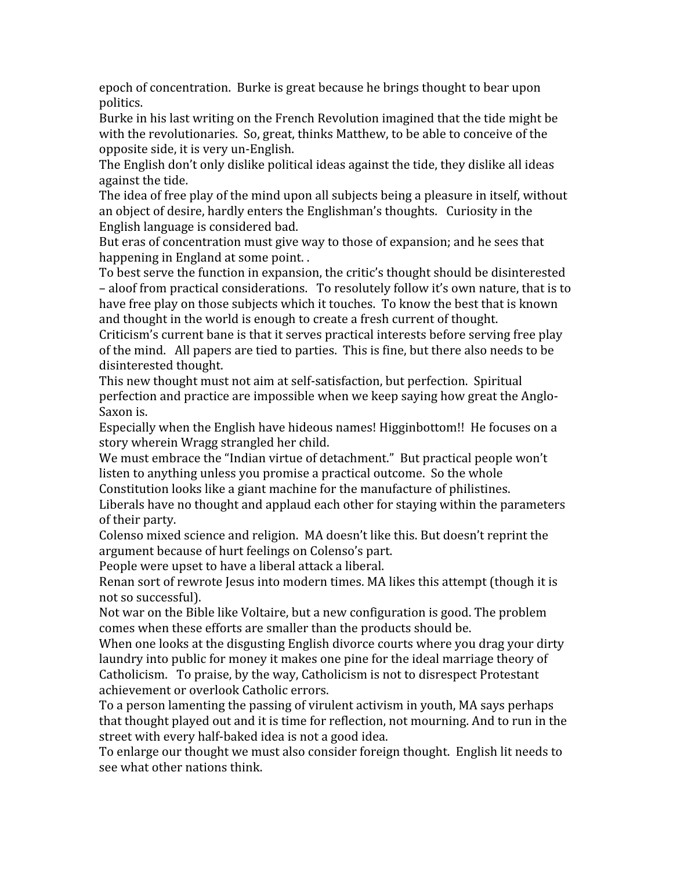epoch of concentration. Burke is great because he brings thought to bear upon politics.

Burke
in
his
last
writing
on
the
French
Revolution
imagined
that
the
tide
might
be with the revolutionaries. So, great, thinks Matthew, to be able to conceive of the opposite
side,
it
is
very
un‐English.

The English don't only dislike political ideas against the tide, they dislike all ideas against
the
tide.

The idea of free play of the mind upon all subjects being a pleasure in itself, without an
object
of
desire,
hardly
enters
the
Englishman's
thoughts.

Curiosity
in
the English
language
is
considered
bad.

But eras of concentration must give way to those of expansion; and he sees that happening in England at some point..

To
best
serve
the
function
in
expansion,
the
critic's
thought
should
be
disinterested – aloof from practical considerations. To resolutely follow it's own nature, that is to have free play on those subjects which it touches. To know the best that is known and thought in the world is enough to create a fresh current of thought.

Criticism's current bane is that it serves practical interests before serving free play of
the
mind.

All
papers
are
tied
to
parties.

This
is
fine,
but
there
also
needs
to
be disinterested
thought.

This new thought must not aim at self-satisfaction, but perfection. Spiritual perfection
and
practice
are
impossible
when
we
keep
saying
how
great
the
Anglo‐ Saxon
is.

Especially when the English have hideous names! Higginbottom!! He focuses on a story
wherein
Wragg
strangled
her
child.

We must embrace the "Indian virtue of detachment." But practical people won't listen to anything unless you promise a practical outcome. So the whole

Constitution
looks
like
a
giant
machine
for
the
manufacture
of
philistines.

Liberals
have
no
thought
and
applaud
each
other
for
staying
within
the
parameters of
their
party.

Colenso mixed science and religion. MA doesn't like this. But doesn't reprint the argument
because
of
hurt
feelings
on
Colenso's
part.

People
were
upset
to
have
a
liberal
attack
a
liberal.

Renan sort of rewrote Jesus into modern times. MA likes this attempt (though it is not
so
successful).

Not war on the Bible like Voltaire, but a new configuration is good. The problem comes
when
these
efforts
are
smaller
than
the
products
should
be.

When one looks at the disgusting English divorce courts where you drag your dirty laundry into public for money it makes one pine for the ideal marriage theory of Catholicism.

To
praise,
by
the
way,
Catholicism
is
not
to
disrespect
Protestant achievement
or
overlook
Catholic
errors.

To
a
person
lamenting
the
passing
of
virulent
activism
in
youth,
MA
says
perhaps that thought played out and it is time for reflection, not mourning. And to run in the street with every half-baked idea is not a good idea.

To
enlarge
our
thought
we
must
also
consider
foreign
thought.

English
lit
needs
to see
what
other
nations
think.